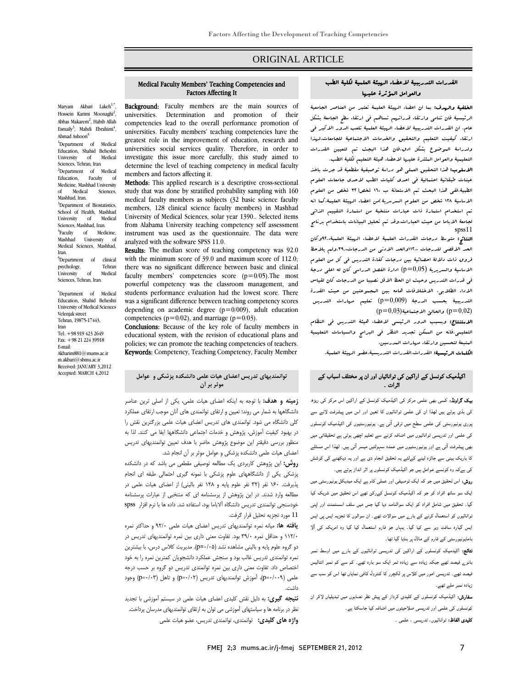## ORIGINAL ARTICLE

#### Medical Faculty Members' Teaching Competencies and Factors Affecting It

Ī 

Maryam Akbari Lakeh<sup>1,\*</sup>, Hossein Karimi Moonaghi<sup>2</sup>, Abbas Makarem<sup>2</sup>, Habib Allah Esmaily<sup>3</sup>, Mahdi Ebrahimi<sup>4</sup>, Ahmad Ashoori 5

1 Department of Medical Education, Shahid Beheshti University of Medical Sciences, Tehran, Iran <sup>2</sup>Department of Medical Education, Faculty of Medicine, Mashhad University Medical Sciences, Mashhad, Iran. <sup>3</sup>Department of Biostatistics, School of Health, Mashhad<br>University of Medical University of Sciences, Mashhad, Iran. <sup>4</sup>Faculty of Medicine, Mashhad University Medical Sciences, Mashhad, Iran.

<sup>5</sup>Department of clinical psychology, Tehran<br>University of Medical University Sciences, Tehran, Iran.

\* Department of Medical Education, Shahid Beheshti University of Medical Sciences Velenjak street Tehran, 19875-17443, Iran Tel:.+98 919 423 2649 Fax: +98 21 224 39918 E-mail: Akbarim881@mums.ac.ir m.akbari@sbmu.ac.ir Received: JANUARY 3,2012 Accepted: MARCH 4,2012

Background: Faculty members are the main sources of **DALASHOUTH** TACHRY INCITIOUS ATC THE HAIH SOUTCES OF competencies lead to the overall performance promotion of universities. Faculty members' teaching competencies have the universities social services quality. Therefore, in order to investigate this issue more carefully, this study aimed to determine the level of teaching competency in medical faculty<br>members and factors affecting it greatest role in the improvement of education, research and members and factors affecting it.

Methods: This applied research is a descriptive cross-sectional study that was done by stratified probability sampling with 160 members, 128 clinical science faculty members) in Mashhad University of Medical Sciences, solar year 1390.. Selected items instrument was used as the questionnaire. The data were medical faculty members as subjects (32 basic science faculty from Alabama University teaching competency self assessment analyzed with the software SPSS 11.0.

**RESUITS:** The median score of teaching competency was 92.0 with the minimum score of 39.0 and maximum score of 112.0; there was no significant difference between basic and clinical faculty members' competencies score  $(p=0/05)$ . The most students performance evaluation had the lowest score. There was a significant difference between teaching competency scores depending on academic degree ( $p=0/009$ ), adult education Results: The median score of teaching competency was 92.0 powerful competency was the classroom management, and competencies ( $p=0/02$ ), and marriage ( $p=0/03$ ).

Conclusions: Because of the key role of faculty members in educational system, with the revision of educational plans and Keywords: Competency, Teaching Competency, Faculty Member policies; we can promote the teaching competencies of teachers.

## **توانمنديهاي تدريس اعضاي هيات علمي دانشكده پزشكي و عوامل موثر بر آن**

 **زمينه و هدف:** با توجه به اينكه اعضاي هيات علمي، يكي از اصلي ترين عناصر دانشگاهها به شمار مي روند؛ تعيين و ارتقاي توانمندي هاي آنان موجب ارتقاي عملكرد كلي دانشگاه مي شود. توانمندي هاي تدريس اعضاي هيات علمي بزرگترين نقش را در بهبود كيفيت آموزش، پژوهش و خدمات اجتماعي دانشگاهها ايفا مي كنند. لذا به منظور بررسي دقيقتر اين موضوع پژوهش حاضر با هدف تعيين توانمنديهاي تدريس اعضاي هيات علمي دانشكده پزشكي و عوامل موثر بر آن انجام شد.

 **روش:** اين پژوهش كاربردي يك مطالعه توصيفي مقطعي مي باشد كه در دانشكده پرستي پتي از مستحقهاي خوم پرستي با شود خيري احساني خيب اين احبام<br>پذيرفت. ۱۶۰ نفر (۳۲ نفر علوم پايه و ۱۲۸ نفر باليني) از اعضاي هيات علمي در مطالعه وارد شدند. در اين پژوهش از پرسشنامه اي كه منتخبي از عبارات پرسشنامه خودسنجي توانمندي تدريس دانشگاه آلاباما بود، استفاده شد. داده ها با نرم افزار spss 11 مورد تجزيه تحليل قرار گرفت. پزشكي يكي از دانشگاههاي علوم پزشكي با نمونه گيري احتمالي طبقه اي انجام

 **يافته ها:** ميانه نمره توانمنديهاي تدريس اعضاي هيات علمي 92/0 و حداكثر نمره 112/0 و حداقل نمره 39/0 بود. تفاوت معني داري بين نمره توانمنديهاي تدريس در دو گروه علوم پايه و باليني مشاهده نشد (0/05=p(. مديريت كلاس درس، با بيشترين عبر- توانستان عبريس داديا بود و استيس اعتدار داشتياريان عمرين عبردارا با موانا<br>اختصاص داد. تفاوت معني داري بين نمره توانمندي تدريس دو گروه بر حسب درجه علمي (p=۰/۰۹)، آموزش توانمنديهاي تدريس (p=۰/۰۲) و تاهل (p=۰/۰۳) وجود نمره توانمندي تدريس غالب بود و سنجش عملكرد دانشجويان كمترين نمره را به خود داشت.

 **نتيجه گيري:** به دليل نقش كليدي اعضاي هيات علمي در سيستم آموزشي با تجديد نظر در برنامه ها و سياستهاي آموزشي مي توان به ارتقاي توانمنديهاي مدرسان پرداخت. **واژه هاي كليدي:** توانمندي، توانمندي تدريس، عضو هيات علمي

#### القدرات التدريبية لاعضاء الهيئة العلمية لكلية الطب والعوامل المؤثرة عليها

Ī 

**الخلفية والرسف:** بما ان اعضاء الرسنة العليمة تعتبر من العناصر الجامعية<br>-عربيسية عام عنامي وارتضاء مدراسيهم عند علم عي ارتضاء المعنى البياسة بسند.<br>عام. ان القدرات التدريبية لاعضاء الربيئة العلمية تلعب الدور الاكبر في سبب التحقيق التعليم والتحقيق والخدمات الاجتماعية للجامعات،لهذا<br>ارتقاء كيفيت التعليم والتحقيق والخدمات الاجتماعية للجامعات،لهذا ولدراسة الموضوع بشكل ادق،فان هذا البجث تم لتعيين القدرات التعليمية والعوامل المئثرة عليها لاعضاء هيئة التعليم لكلية الطب. الرئيسية فان تنامي وارتقاء قدراتهم تساهم في ارتقاء سطح الجامعة بشكل

<mark>الاسلوب:</mark> هذا التحقيق العملى هو دراسة توصيفية مقطعية قد جرت باخذ عينات طبقاتية احتمالية في احدى كليات الطب لاحدى جامعات العلوم الطبية.ففي هذا البحث تم الاستعانة ب 160 شخص(32 شخص من العلوم تم استخدام استمار من استخدام استخدام استخدام التقييم الذاتي التقييم الذاتي<br>تم استخدام استمارة ذات عبارات منتخبة من استمارة التقييم الذاتي لجامعة الاباما من حيث العبارات،وقد تم تحليل البيانات باستخدام برنامج الاساسية 128 شخص من العلوم السرسرية)من اعضاء الهيئة العليمة،كما انه spss11

**النتائج:** متوسط درجات القدرات العلمية لاعضاء الربيئة العلمية،؟٩٩وكان الحد الاقصى للدرجات ١٢٠،٠والحد الادنى من الدرجات.٦٩،ولم يلاحظ<br>. الاساسية والسريرية (0,05=p (ادارة الفصل الدراسي كان له اعلى درجة في قدرات التدريس وحيث ان الحظ الاقل نصيبا من الدرجات كان لقياس الاداء الطلابي. الاختلافات هامه بين المجموعتين من حيث القدرة التدريبية بحسب الدرجة (0,009=p (تعليم مهارات التدريس  $(p=0,03)$ والحالئ الاجتماعية  $(p=0,02)$ فروق ذات دلالة احصائية بين درجات كفاءة التدريس في كل من العلوم

**الاستنتاج:** وبسبب الدور الرئيسي لاعضاء هيئة التدريس في النظام<br>-المتبيعي المتعسمين المتبعين المتعرضي.<br>البتبعة لتحسين وارتقاء مهارات البدرسين. التعليمي،فانه من الممكن تجديد النظر في البرامج والسياسات التعليمية

.<br>**الكلمات الرئيسية:** القدرات القدرات التدريسية،عضو ال*ربي*ئة العلمية.

# اکیڈمیک کونسل کے اراکین کی توانائياں اور ان پر مختلف اسباب کے اثرات ۔

**بیک گراونڈ:** کسی بھی علمی مرکز کی اکیڈمیک کونسل کے اراکین اس مرکز کی ریڑھ کی ہڈی ہوتے ہیں لھذا ان کی علمی توانائيوں کا تعین اور اس میں پیشرفت لانے سے پوری یونیورسٹی کی علمی سطح میں ترقی آتی ہے۔ یونیورسٹیوں کی اکیڈمیک کونسلوں کی علمی اور تدریسی توانائيوں میں اضافہ کرنے سے تعلیم اچھی ہوتی ہے تحقیقاتی میں بھی پیشرفت آتی ہے اور یونیورسٹیوں میں عمدہ سہولتیں میسر آتی ہیں۔ لھذا اس مسئلے کا باریک بینی سے جائزہ لینے کےلئے یہ تحقیق انجام دی ہے اور یہ دیکھنے کی کوشش کی ہےکہ وہ کونسے عوامل ہیں جو اکیڈمیک کونسلوں پر اثر انداز ہوتے ہیں۔

 روش: اس تحقیق میں جو کہ ایک توصیفی اور عملی کام ہے ایک میدیکل یونیورسٹی میں ایک سو ساٹھ افراد کو جو کہ اکیڈمیک کونسل کےرکن تھے اس تحقیق میں شریک کیا گيا۔ تحقیق میں شامل افراد کو ایک سوالنامہ دیا گيا جس میں سلف اسسٹمنٹ اور اپنی توانائیوں کو استعمال کرنے کے بارے میں سوالات تھے۔ ان سوالوں کا تجزیہ ایس پی ایس ایس گيارہ سافٹ ویر سے کیا گيا۔ یہاں جو فارم استعمال کیا گیا وہ امریکہ کی آلا بامایونیورسٹی کے فارم کے ماڈل پر بنایا گيا تھا۔

 نتائج: اکیدمیک کونسلوں کے اراکین کی تدریسی توانائيوں کے بارے میں اوسط نمبر بانوے فیصد تھے جبکہ زیادہ سے زیادہ تمر ایک سو بارہ تھے۔ کم سے کم نمبر انتالیس فیصد تھے۔ تدریسی امور میں کلاس پر لکچرر کا کنٹرول کافی نمایاں تھا اس کو سب سے زیادہ نمبر ملے تھے۔

<mark>سفارش:</mark> اکیڈمیک کونسلوں کے کلیدی کردار کے پیش نظر نصابوں میں تبدیلیاں لاکر ان<br>. کونسلوں کی علمی اور تدریسی صلاحیتوں میں اضافہ کیا جاسکتا ہے۔ **کلیدی الفاظ:** توانائیوں، تدریسی ، علمی ۔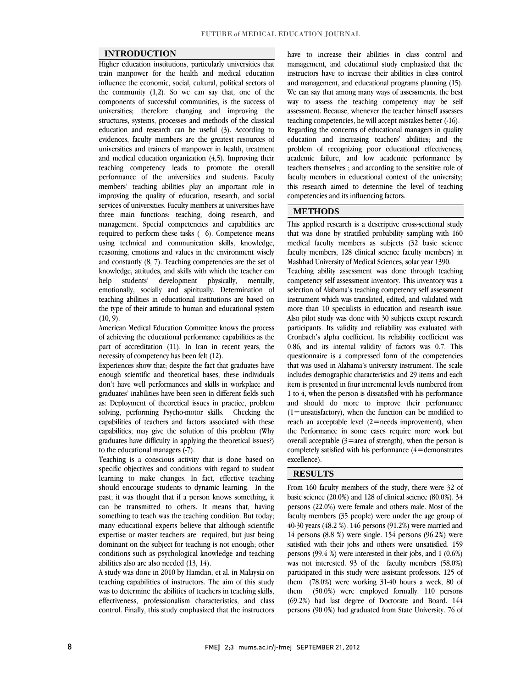#### **INTRODUCTION**

 Higher education institutions, particularly universities that train manpower for the health and medical education the community  $(1,2)$ . So we can say that, one of the components of successful communities, is the success of universities; therefore changing and improving the structures, systems, processes and methods of the classical evidences, faculty members are the greatest resources of universities and trainers of manpower in health, treatment and medical education organization (4,5). Improving their teaching competency leads to promote the overall members' teaching abilities play an important role in improving the quality of education, research, and social services of universities. Faculty members at universities have three main functions: teaching, doing research, and required to perform these tasks ( 6). Competence means using technical and communication skills, knowledge, reasoning, emotions and values in the environment wisely and constantly (8, 7). Teacning competencies are the set of<br>knowledge, attitudes, and skills with which the teacher can mentally, emotionally, socially and spiritually. Determination of teaching abilities in educational institutions are based on the type of their attitude to human and educational system  $(10, 0)$ influence the economic, social, cultural, political sectors of education and research can be useful (3). According to performance of the universities and students. Faculty management. Special competencies and capabilities are and constantly (8, 7). Teaching competencies are the set of help students' development physically,  $(10, 9)$ .

 American Medical Education Committee knows the process of achieving the educational performance capabilities as the part of accreditation (11). In Iran in recent years, the necessity of competency has been felt (12).

Experiences show that; despite the fact that graduates have enough scientific and theoretical bases, these individuals don't have well performances and skills in workplace and graduates' inabilities have been seen in different fields such solving, performing Psycho-motor skills. Checking the capabilities of teachers and factors associated with these capabilities; may give the solution of this problem (Why graduates have difficulty in applying the theoretical issues?) as: Deployment of theoretical issues in practice, problem to the educational managers (-7).

Teaching is a conscious activity that is done based on specific objectives and conditions with regard to student learning to make changes. In fact, effective teaching should encourage students to dynamic learning. In the can be transmitted to others. It means that, having something to teach was the teaching condition. But today; many educational experts believe that although scientific experise or master teachers are required, but just being<br>dominant on the subject for teaching is not enough; other conditions such as psychological knowledge and teaching past; it was thought that if a person knows something, it expertise or master teachers are required, but just being abilities also are also needed (13, 14).

 A study was done in 2010 by Hamdan, et al. in Malaysia on was to determine the abilities of teachers in teaching skills, effectiveness, professionalism characteristics, and class control. Finally, this study emphasized that the instructors teaching capabilities of instructors. The aim of this study

 management, and educational study emphasized that the instructors have to increase their abilities in class control and management, and educational programs planning (15).<br>We can say that among many ways of assessments, the best way to assess the teaching competency may be self assessment. Because, whenever the teacher himself assesses teaching competencies, he will accept mistakes better (-16). education and increasing teachers' abilities; and the problem of recognizing poor educational effectiveness, academic failure, and low academic performance by teachers themselves ; and according to the sensitive role of this research aimed to determine the level of teaching have to increase their abilities in class control and and management, and educational programs planning (15). Regarding the concerns of educational managers in quality faculty members in educational context of the university; competencies and its influencing factors.

## **METHODS**

 This applied research is a descriptive cross-sectional study that was done by stratified probability sampling with 160 medical faculty members as subjects (32 basic science faculty members, 128 clinical science faculty members) in Mashhad University of Medical Sciences, solar year 1390.

I

Ī

masililad University of Medical Sciences, solar year 1590.<br>Teaching ability assessment was done through teaching competency self assessment inventory. This inventory was a selection of Alabama's teaching competency self assessment instrument which was translated, edited, and validated with Also pilot study was done with 30 subjects except research participants. Its validity and reliability was evaluated with Cronbach's alpha coefficient. Its reliability coefficient was 0.86, and its internal validity of factors was 0.7. This that was used in Alabama's university instrument. The scale includes demographic characteristics and 29 items and each item is presented in four incremental levels numbered from 1 to 4, when the person is dissatisfied with his performance (1=unsatisfactory), when the function can be modified to reach an acceptable level (2=needs improvement), when the Performance in some cases require more work but  $\overline{1}$ completely satisfied with his performance (4=demonstrates)<br>excellence) more than 10 specialists in education and research issue. questionnaire is a compressed form of the competencies and should do more to improve their performance overall acceptable  $(3=$ area of strength), when the person is excellence).

## **RESULTS**

Ĭ. From 160 faculty members of the study, there were 32 of<br>hasta asiance (20,0%) and 129 of clinical asiance (20,0%),  $\frac{2}{3}$ persons (22.0%) were female and others male. Most of the faculty members (35 people) were under the age group of 40-30 years (48.2 %). 146 persons (91.2%) were married and satisfied with their jobs and others were unsatisfied. 159 persons (99.4 %) were interested in their jobs, and 1 (0.6%) was not interested. 93 of the faculty members (58.0%) participated in this study were assistant professors. 125 of them (50.0%) were employed formally. 110 persons (69.2%) had last degree of Doctorate and Board. 144 persons (90.0%) had graduated from State University. 76 of basic science (20.0%) and 128 of clinical science (80.0%). 34 14 persons (8.8 %) were single. 154 persons (96.2%) were them (78.0%) were working 31-40 hours a week, 80 of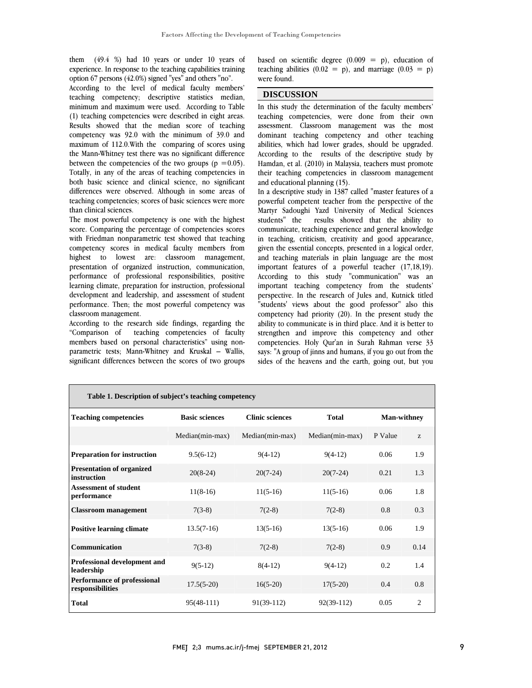$\frac{49.4}{8}$  ( $\frac{8}{10}$  nad To years or under To years of experience. In response to the teaching capabilities training Î them (49.4 %) had 10 years or under 10 years of option 67 persons (42.0%) signed "yes" and others "no".

 According to the level of medical faculty members' teaching competency; descriptive statistics median, (1) teaching competencies were described in eight areas. Results showed that the median score of teaching competency was 92.0 with the minimum of 39.0 and maximum of 112.0.With the comparing of scores using between the competencies of the two groups  $(p = 0.05)$ . Totally, in any of the areas of teaching competencies in both basic science and clinical science, no significant differences were observed. Although in some areas of teaching competencies; scores of basic sciences were more<br>than clinical sciences minimum and maximum were used. According to Table the Mann-Whitney test there was no significant difference than clinical sciences.

 The most powerful competency is one with the highest score. Comparing the percentage of competencies scores with Friedman nonparametric test showed that teaching highest to lowest are: classroom management, presentation of organized instruction, communication, performance of professional responsibilities, positive learning climate, preparation for instruction, professional performance. Then; the most powerful competency was competency scores in medical faculty members from development and leadership, and assessment of student classroom management.

 According to the research side findings, regarding the members based on personal characteristics" using non- parametric tests; Mann-Whitney and Kruskal – Wallis, significant differences between the scores of two groups "Comparison of teaching competencies of faculty

based on scientific degree  $(0.009 = p)$ , education of teaching abilities  $(0.02 = p)$ , and marriage  $(0.03 = p)$ <br>were found were found.

 $\overline{a}$ 

### **DISCUSSION**

 $\overline{a}$  assessment. Classroom management was the most dominant teaching competency and other teaching abilities, which had lower grades, should be upgraded. Hamdan, et al. (2010) in Malaysia, teachers must promote their teaching competencies in classroom management In this study the determination of the faculty members' teaching competencies, were done from their own According to the results of the descriptive study by and educational planning (15).

 In a descriptive study in 1387 called "master features of a Martyr Sadoughi Yazd University of Medical Sciences students" the results showed that the ability to communicate, teaching experience and general knowledge in teaching, criticism, creativity and good appearance, and teaching materials in plain language are the most important features of a powerful teacher (17,18,19). According to this study "communication" was an perspective. In the research of Jules and, Kutnick titled "students' views about the good professor" also this competency had priority (20). In the present study the ability to communicate is in third place. And it is better to competencies. Holy Qur'an in Surah Rahman verse 33 says: "A group of jinns and humans, if you go out from the sides of the heavens and the earth, going out, but you powerful competent teacher from the perspective of the given the essential concepts, presented in a logical order, important teaching competency from the students' strengthen and improve this competency and other

| Table 1. Description of subject's teaching competency  |                       |                        |                 |                    |      |
|--------------------------------------------------------|-----------------------|------------------------|-----------------|--------------------|------|
| <b>Teaching competencies</b>                           | <b>Basic sciences</b> | <b>Clinic sciences</b> | <b>Total</b>    | <b>Man-withney</b> |      |
|                                                        | Median(min-max)       | Median(min-max)        | Median(min-max) | P Value            | Z.   |
| <b>Preparation for instruction</b>                     | $9.5(6-12)$           | $9(4-12)$              | $9(4-12)$       | 0.06               | 1.9  |
| <b>Presentation of organized</b><br>instruction        | $20(8-24)$            | $20(7-24)$             | $20(7-24)$      | 0.21               | 1.3  |
| <b>Assessment of student</b><br>performance            | $11(8-16)$            | $11(5-16)$             | $11(5-16)$      | 0.06               | 1.8  |
| <b>Classroom management</b>                            | $7(3-8)$              | $7(2-8)$               | $7(2-8)$        | 0.8                | 0.3  |
| <b>Positive learning climate</b>                       | $13.5(7-16)$          | $13(5-16)$             | $13(5-16)$      | 0.06               | 1.9  |
| <b>Communication</b>                                   | $7(3-8)$              | $7(2-8)$               | $7(2-8)$        | 0.9                | 0.14 |
| Professional development and<br>leadership             | $9(5-12)$             | $8(4-12)$              | $9(4-12)$       | 0.2                | 1.4  |
| <b>Performance of professional</b><br>responsibilities | $17.5(5-20)$          | $16(5-20)$             | $17(5-20)$      | 0.4                | 0.8  |
| <b>Total</b>                                           | $95(48-111)$          | $91(39-112)$           | $92(39-112)$    | 0.05               | 2    |